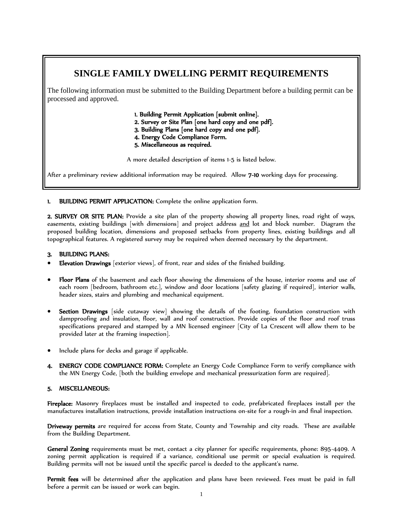## **SINGLE FAMILY DWELLING PERMIT REQUIREMENTS**

The following information must be submitted to the Building Department before a building permit can be processed and approved.

- 1. Building Permit Application [submit online].
- 2. Survey or Site Plan [one hard copy and one pdf].
- 3. Building Plans [one hard copy and one pdf].
- 4. Energy Code Compliance Form.
- 5. Miscellaneous as required.

A more detailed description of items 1-5 is listed below.

After a preliminary review additional information may be required. Allow 7-10 working days for processing.

1. BUILDING PERMIT APPLICATION: Complete the online application form.

2. SURVEY OR SITE PLAN: Provide a site plan of the property showing all property lines, road right of ways, easements, existing buildings [with dimensions] and project address and lot and block number. Diagram the proposed building location, dimensions and proposed setbacks from property lines, existing buildings and all topographical features. A registered survey may be required when deemed necessary by the department.

## 3. BUILDING PLANS:

- Elevation Drawings [exterior views], of front, rear and sides of the finished building.
- Floor Plans of the basement and each floor showing the dimensions of the house, interior rooms and use of each room [bedroom, bathroom etc.], window and door locations [safety glazing if required], interior walls, header sizes, stairs and plumbing and mechanical equipment.
- Section Drawings [side cutaway view] showing the details of the footing, foundation construction with dampproofing and insulation, floor, wall and roof construction. Provide copies of the floor and roof truss specifications prepared and stamped by a MN licensed engineer [City of La Crescent will allow them to be provided later at the framing inspection].
- Include plans for decks and garage if applicable.
- 4. ENERGY CODE COMPLIANCE FORM: Complete an Energy Code Compliance Form to verify compliance with the MN Energy Code, [both the building envelope and mechanical pressurization form are required].

## 5. MISCELLANEOUS:

Fireplace: Masonry fireplaces must be installed and inspected to code, prefabricated fireplaces install per the manufactures installation instructions, provide installation instructions on-site for a rough-in and final inspection.

Driveway permits are required for access from State, County and Township and city roads. These are available from the Building Department.

General Zoning requirements must be met, contact a city planner for specific requirements, phone: 895-4409. A zoning permit application is required if a variance, conditional use permit or special evaluation is required. Building permits will not be issued until the specific parcel is deeded to the applicant's name.

Permit fees will be determined after the application and plans have been reviewed. Fees must be paid in full before a permit can be issued or work can begin.